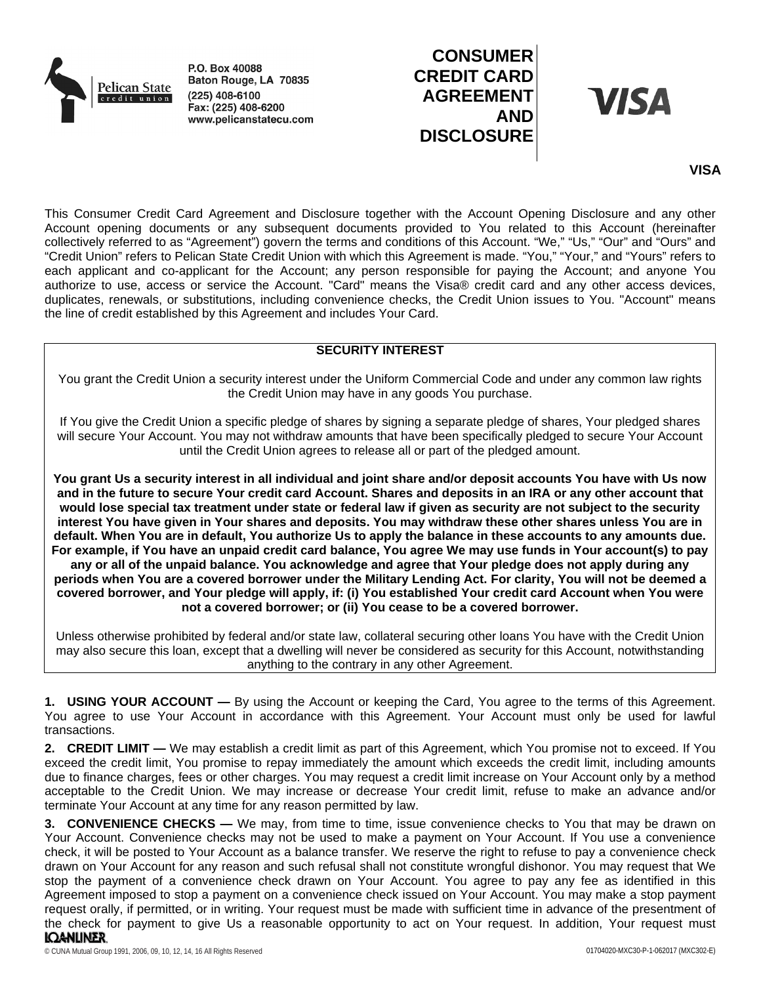

P.O. Box 40088 Baton Rouge, LA 70835  $(225)$  408-6100 Fax:  $(225)$  408-6200 www.pelicanstatecu.com

# **CONSUMER CREDIT CARD AGREEMENT AND DISCLOSURE**

**VISA** 

## **VISA**

This Consumer Credit Card Agreement and Disclosure together with the Account Opening Disclosure and any other Account opening documents or any subsequent documents provided to You related to this Account (hereinafter collectively referred to as "Agreement") govern the terms and conditions of this Account. "We," "Us," "Our" and "Ours" and "Credit Union" refers to Pelican State Credit Union with which this Agreement is made. "You," "Your," and "Yours" refers to each applicant and co-applicant for the Account; any person responsible for paying the Account; and anyone You authorize to use, access or service the Account. "Card" means the Visa® credit card and any other access devices, duplicates, renewals, or substitutions, including convenience checks, the Credit Union issues to You. "Account" means the line of credit established by this Agreement and includes Your Card.

## **SECURITY INTEREST**

You grant the Credit Union a security interest under the Uniform Commercial Code and under any common law rights the Credit Union may have in any goods You purchase.

If You give the Credit Union a specific pledge of shares by signing a separate pledge of shares, Your pledged shares will secure Your Account. You may not withdraw amounts that have been specifically pledged to secure Your Account until the Credit Union agrees to release all or part of the pledged amount.

**You grant Us a security interest in all individual and joint share and/or deposit accounts You have with Us now and in the future to secure Your credit card Account. Shares and deposits in an IRA or any other account that would lose special tax treatment under state or federal law if given as security are not subject to the security interest You have given in Your shares and deposits. You may withdraw these other shares unless You are in default. When You are in default, You authorize Us to apply the balance in these accounts to any amounts due. For example, if You have an unpaid credit card balance, You agree We may use funds in Your account(s) to pay any or all of the unpaid balance. You acknowledge and agree that Your pledge does not apply during any periods when You are a covered borrower under the Military Lending Act. For clarity, You will not be deemed a covered borrower, and Your pledge will apply, if: (i) You established Your credit card Account when You were not a covered borrower; or (ii) You cease to be a covered borrower.**

Unless otherwise prohibited by federal and/or state law, collateral securing other loans You have with the Credit Union may also secure this loan, except that a dwelling will never be considered as security for this Account, notwithstanding anything to the contrary in any other Agreement.

**1. USING YOUR ACCOUNT —** By using the Account or keeping the Card, You agree to the terms of this Agreement. You agree to use Your Account in accordance with this Agreement. Your Account must only be used for lawful transactions.

**2. CREDIT LIMIT —** We may establish a credit limit as part of this Agreement, which You promise not to exceed. If You exceed the credit limit, You promise to repay immediately the amount which exceeds the credit limit, including amounts due to finance charges, fees or other charges. You may request a credit limit increase on Your Account only by a method acceptable to the Credit Union. We may increase or decrease Your credit limit, refuse to make an advance and/or terminate Your Account at any time for any reason permitted by law.

**3. CONVENIENCE CHECKS —** We may, from time to time, issue convenience checks to You that may be drawn on Your Account. Convenience checks may not be used to make a payment on Your Account. If You use a convenience check, it will be posted to Your Account as a balance transfer. We reserve the right to refuse to pay a convenience check drawn on Your Account for any reason and such refusal shall not constitute wrongful dishonor. You may request that We stop the payment of a convenience check drawn on Your Account. You agree to pay any fee as identified in this Agreement imposed to stop a payment on a convenience check issued on Your Account. You may make a stop payment request orally, if permitted, or in writing. Your request must be made with sufficient time in advance of the presentment of the check for payment to give Us a reasonable opportunity to act on Your request. In addition, Your request must**IQANLINER**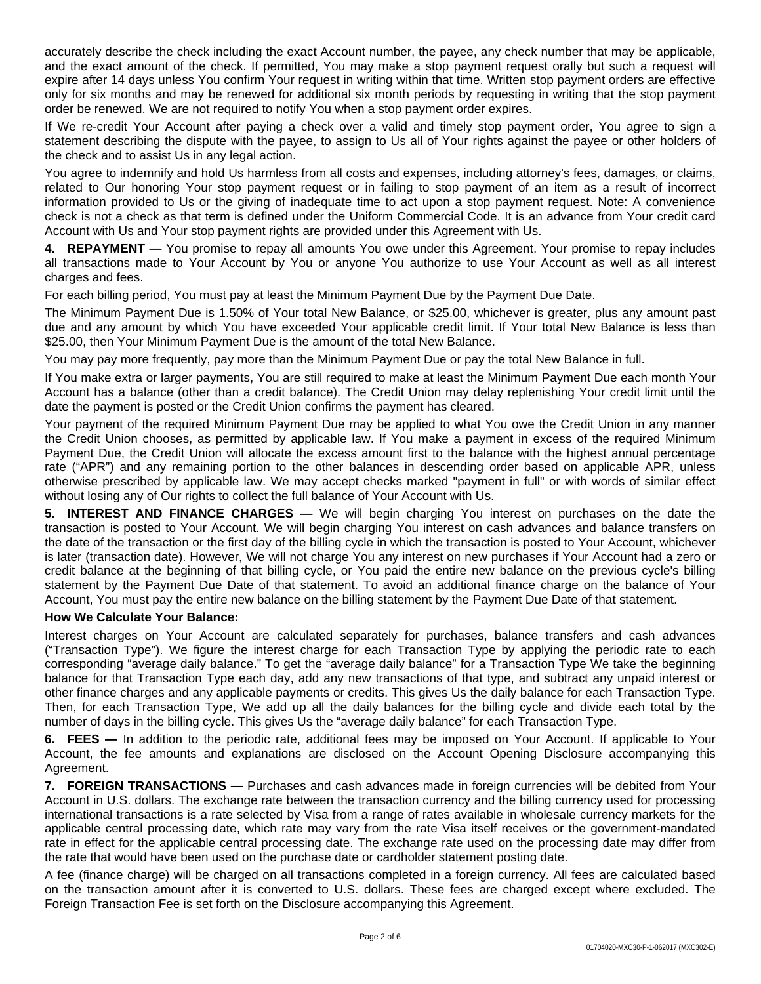accurately describe the check including the exact Account number, the payee, any check number that may be applicable, and the exact amount of the check. If permitted, You may make a stop payment request orally but such a request will expire after 14 days unless You confirm Your request in writing within that time. Written stop payment orders are effective only for six months and may be renewed for additional six month periods by requesting in writing that the stop payment order be renewed. We are not required to notify You when a stop payment order expires.

If We re-credit Your Account after paying a check over a valid and timely stop payment order, You agree to sign a statement describing the dispute with the payee, to assign to Us all of Your rights against the payee or other holders of the check and to assist Us in any legal action.

You agree to indemnify and hold Us harmless from all costs and expenses, including attorney's fees, damages, or claims, related to Our honoring Your stop payment request or in failing to stop payment of an item as a result of incorrect information provided to Us or the giving of inadequate time to act upon a stop payment request. Note: A convenience check is not a check as that term is defined under the Uniform Commercial Code. It is an advance from Your credit card Account with Us and Your stop payment rights are provided under this Agreement with Us.

**4. REPAYMENT —** You promise to repay all amounts You owe under this Agreement. Your promise to repay includes all transactions made to Your Account by You or anyone You authorize to use Your Account as well as all interest charges and fees.

For each billing period, You must pay at least the Minimum Payment Due by the Payment Due Date.

The Minimum Payment Due is 1.50% of Your total New Balance, or \$25.00, whichever is greater, plus any amount past due and any amount by which You have exceeded Your applicable credit limit. If Your total New Balance is less than \$25.00, then Your Minimum Payment Due is the amount of the total New Balance.

You may pay more frequently, pay more than the Minimum Payment Due or pay the total New Balance in full.

If You make extra or larger payments, You are still required to make at least the Minimum Payment Due each month Your Account has a balance (other than a credit balance). The Credit Union may delay replenishing Your credit limit until the date the payment is posted or the Credit Union confirms the payment has cleared.

Your payment of the required Minimum Payment Due may be applied to what You owe the Credit Union in any manner the Credit Union chooses, as permitted by applicable law. If You make a payment in excess of the required Minimum Payment Due, the Credit Union will allocate the excess amount first to the balance with the highest annual percentage rate ("APR") and any remaining portion to the other balances in descending order based on applicable APR, unless otherwise prescribed by applicable law. We may accept checks marked "payment in full" or with words of similar effect without losing any of Our rights to collect the full balance of Your Account with Us.

**5. INTEREST AND FINANCE CHARGES —** We will begin charging You interest on purchases on the date the transaction is posted to Your Account. We will begin charging You interest on cash advances and balance transfers on the date of the transaction or the first day of the billing cycle in which the transaction is posted to Your Account, whichever is later (transaction date). However, We will not charge You any interest on new purchases if Your Account had a zero or credit balance at the beginning of that billing cycle, or You paid the entire new balance on the previous cycle's billing statement by the Payment Due Date of that statement. To avoid an additional finance charge on the balance of Your Account, You must pay the entire new balance on the billing statement by the Payment Due Date of that statement.

## **How We Calculate Your Balance:**

Interest charges on Your Account are calculated separately for purchases, balance transfers and cash advances ("Transaction Type"). We figure the interest charge for each Transaction Type by applying the periodic rate to each corresponding "average daily balance." To get the "average daily balance" for a Transaction Type We take the beginning balance for that Transaction Type each day, add any new transactions of that type, and subtract any unpaid interest or other finance charges and any applicable payments or credits. This gives Us the daily balance for each Transaction Type. Then, for each Transaction Type, We add up all the daily balances for the billing cycle and divide each total by the number of days in the billing cycle. This gives Us the "average daily balance" for each Transaction Type.

**6. FEES —** In addition to the periodic rate, additional fees may be imposed on Your Account. If applicable to Your Account, the fee amounts and explanations are disclosed on the Account Opening Disclosure accompanying this Agreement.

**7. FOREIGN TRANSACTIONS —** Purchases and cash advances made in foreign currencies will be debited from Your Account in U.S. dollars. The exchange rate between the transaction currency and the billing currency used for processing international transactions is a rate selected by Visa from a range of rates available in wholesale currency markets for the applicable central processing date, which rate may vary from the rate Visa itself receives or the government-mandated rate in effect for the applicable central processing date. The exchange rate used on the processing date may differ from the rate that would have been used on the purchase date or cardholder statement posting date.

A fee (finance charge) will be charged on all transactions completed in a foreign currency. All fees are calculated based on the transaction amount after it is converted to U.S. dollars. These fees are charged except where excluded. The Foreign Transaction Fee is set forth on the Disclosure accompanying this Agreement.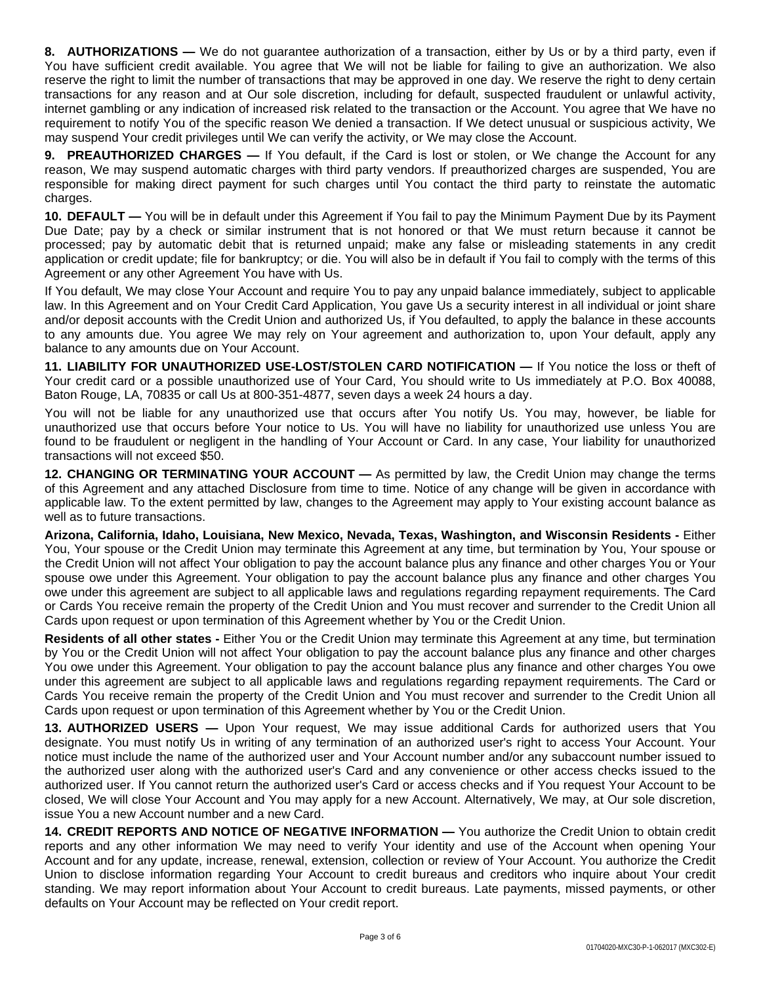**8. AUTHORIZATIONS —** We do not guarantee authorization of a transaction, either by Us or by a third party, even if You have sufficient credit available. You agree that We will not be liable for failing to give an authorization. We also reserve the right to limit the number of transactions that may be approved in one day. We reserve the right to deny certain transactions for any reason and at Our sole discretion, including for default, suspected fraudulent or unlawful activity, internet gambling or any indication of increased risk related to the transaction or the Account. You agree that We have no requirement to notify You of the specific reason We denied a transaction. If We detect unusual or suspicious activity, We may suspend Your credit privileges until We can verify the activity, or We may close the Account.

**9. PREAUTHORIZED CHARGES —** If You default, if the Card is lost or stolen, or We change the Account for any reason, We may suspend automatic charges with third party vendors. If preauthorized charges are suspended, You are responsible for making direct payment for such charges until You contact the third party to reinstate the automatic charges.

**10. DEFAULT —** You will be in default under this Agreement if You fail to pay the Minimum Payment Due by its Payment Due Date; pay by a check or similar instrument that is not honored or that We must return because it cannot be processed; pay by automatic debit that is returned unpaid; make any false or misleading statements in any credit application or credit update; file for bankruptcy; or die. You will also be in default if You fail to comply with the terms of this Agreement or any other Agreement You have with Us.

If You default, We may close Your Account and require You to pay any unpaid balance immediately, subject to applicable law. In this Agreement and on Your Credit Card Application, You gave Us a security interest in all individual or joint share and/or deposit accounts with the Credit Union and authorized Us, if You defaulted, to apply the balance in these accounts to any amounts due. You agree We may rely on Your agreement and authorization to, upon Your default, apply any balance to any amounts due on Your Account.

**11. LIABILITY FOR UNAUTHORIZED USE-LOST/STOLEN CARD NOTIFICATION —** If You notice the loss or theft of Your credit card or a possible unauthorized use of Your Card, You should write to Us immediately at P.O. Box 40088, Baton Rouge, LA, 70835 or call Us at 800-351-4877, seven days a week 24 hours a day.

You will not be liable for any unauthorized use that occurs after You notify Us. You may, however, be liable for unauthorized use that occurs before Your notice to Us. You will have no liability for unauthorized use unless You are found to be fraudulent or negligent in the handling of Your Account or Card. In any case, Your liability for unauthorized transactions will not exceed \$50.

**12. CHANGING OR TERMINATING YOUR ACCOUNT —** As permitted by law, the Credit Union may change the terms of this Agreement and any attached Disclosure from time to time. Notice of any change will be given in accordance with applicable law. To the extent permitted by law, changes to the Agreement may apply to Your existing account balance as well as to future transactions.

**Arizona, California, Idaho, Louisiana, New Mexico, Nevada, Texas, Washington, and Wisconsin Residents -** Either You, Your spouse or the Credit Union may terminate this Agreement at any time, but termination by You, Your spouse or the Credit Union will not affect Your obligation to pay the account balance plus any finance and other charges You or Your spouse owe under this Agreement. Your obligation to pay the account balance plus any finance and other charges You owe under this agreement are subject to all applicable laws and regulations regarding repayment requirements. The Card or Cards You receive remain the property of the Credit Union and You must recover and surrender to the Credit Union all Cards upon request or upon termination of this Agreement whether by You or the Credit Union.

**Residents of all other states -** Either You or the Credit Union may terminate this Agreement at any time, but termination by You or the Credit Union will not affect Your obligation to pay the account balance plus any finance and other charges You owe under this Agreement. Your obligation to pay the account balance plus any finance and other charges You owe under this agreement are subject to all applicable laws and regulations regarding repayment requirements. The Card or Cards You receive remain the property of the Credit Union and You must recover and surrender to the Credit Union all Cards upon request or upon termination of this Agreement whether by You or the Credit Union.

**13. AUTHORIZED USERS —** Upon Your request, We may issue additional Cards for authorized users that You designate. You must notify Us in writing of any termination of an authorized user's right to access Your Account. Your notice must include the name of the authorized user and Your Account number and/or any subaccount number issued to the authorized user along with the authorized user's Card and any convenience or other access checks issued to the authorized user. If You cannot return the authorized user's Card or access checks and if You request Your Account to be closed, We will close Your Account and You may apply for a new Account. Alternatively, We may, at Our sole discretion, issue You a new Account number and a new Card.

**14. CREDIT REPORTS AND NOTICE OF NEGATIVE INFORMATION —** You authorize the Credit Union to obtain credit reports and any other information We may need to verify Your identity and use of the Account when opening Your Account and for any update, increase, renewal, extension, collection or review of Your Account. You authorize the Credit Union to disclose information regarding Your Account to credit bureaus and creditors who inquire about Your credit standing. We may report information about Your Account to credit bureaus. Late payments, missed payments, or other defaults on Your Account may be reflected on Your credit report.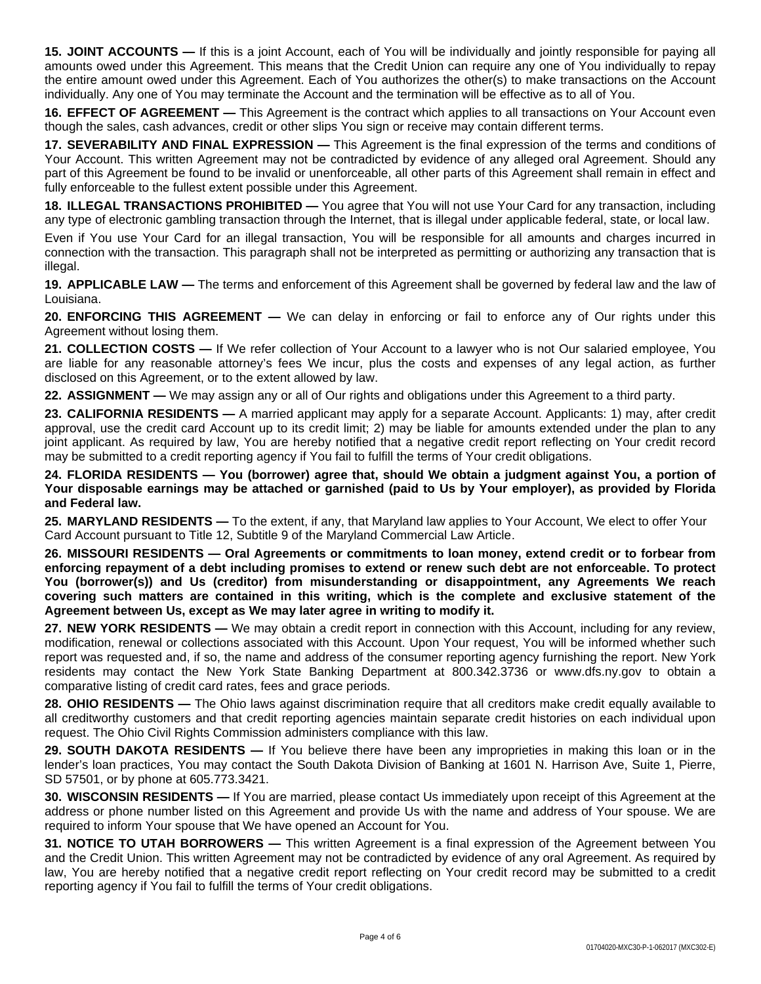**15. JOINT ACCOUNTS —** If this is a joint Account, each of You will be individually and jointly responsible for paying all amounts owed under this Agreement. This means that the Credit Union can require any one of You individually to repay the entire amount owed under this Agreement. Each of You authorizes the other(s) to make transactions on the Account individually. Any one of You may terminate the Account and the termination will be effective as to all of You.

**16. EFFECT OF AGREEMENT —** This Agreement is the contract which applies to all transactions on Your Account even though the sales, cash advances, credit or other slips You sign or receive may contain different terms.

**17. SEVERABILITY AND FINAL EXPRESSION —** This Agreement is the final expression of the terms and conditions of Your Account. This written Agreement may not be contradicted by evidence of any alleged oral Agreement. Should any part of this Agreement be found to be invalid or unenforceable, all other parts of this Agreement shall remain in effect and fully enforceable to the fullest extent possible under this Agreement.

**18. ILLEGAL TRANSACTIONS PROHIBITED —** You agree that You will not use Your Card for any transaction, including any type of electronic gambling transaction through the Internet, that is illegal under applicable federal, state, or local law.

Even if You use Your Card for an illegal transaction, You will be responsible for all amounts and charges incurred in connection with the transaction. This paragraph shall not be interpreted as permitting or authorizing any transaction that is illegal.

**19. APPLICABLE LAW —** The terms and enforcement of this Agreement shall be governed by federal law and the law of Louisiana.

**20. ENFORCING THIS AGREEMENT —** We can delay in enforcing or fail to enforce any of Our rights under this Agreement without losing them.

**21. COLLECTION COSTS —** If We refer collection of Your Account to a lawyer who is not Our salaried employee, You are liable for any reasonable attorney's fees We incur, plus the costs and expenses of any legal action, as further disclosed on this Agreement, or to the extent allowed by law.

**22. ASSIGNMENT —** We may assign any or all of Our rights and obligations under this Agreement to a third party.

**23. CALIFORNIA RESIDENTS —** A married applicant may apply for a separate Account. Applicants: 1) may, after credit approval, use the credit card Account up to its credit limit; 2) may be liable for amounts extended under the plan to any joint applicant. As required by law, You are hereby notified that a negative credit report reflecting on Your credit record may be submitted to a credit reporting agency if You fail to fulfill the terms of Your credit obligations.

24. FLORIDA RESIDENTS — You (borrower) agree that, should We obtain a judgment against You, a portion of Your disposable earnings may be attached or garnished (paid to Us by Your employer), as provided by Florida **and Federal law.**

**25. MARYLAND RESIDENTS —** To the extent, if any, that Maryland law applies to Your Account, We elect to offer Your Card Account pursuant to Title 12, Subtitle 9 of the Maryland Commercial Law Article.

**26. MISSOURI RESIDENTS — Oral Agreements or commitments to loan money, extend credit or to forbear from** enforcing repayment of a debt including promises to extend or renew such debt are not enforceable. To protect **You (borrower(s)) and Us (creditor) from misunderstanding or disappointment, any Agreements We reach covering such matters are contained in this writing, which is the complete and exclusive statement of the Agreement between Us, except as We may later agree in writing to modify it.**

**27. NEW YORK RESIDENTS —** We may obtain a credit report in connection with this Account, including for any review, modification, renewal or collections associated with this Account. Upon Your request, You will be informed whether such report was requested and, if so, the name and address of the consumer reporting agency furnishing the report. New York residents may contact the New York State Banking Department at 800.342.3736 or www.dfs.ny.gov to obtain a comparative listing of credit card rates, fees and grace periods.

**28. OHIO RESIDENTS** — The Ohio laws against discrimination require that all creditors make credit equally available to all creditworthy customers and that credit reporting agencies maintain separate credit histories on each individual upon request. The Ohio Civil Rights Commission administers compliance with this law.

**29. SOUTH DAKOTA RESIDENTS —** If You believe there have been any improprieties in making this loan or in the lender's loan practices, You may contact the South Dakota Division of Banking at 1601 N. Harrison Ave, Suite 1, Pierre, SD 57501, or by phone at 605.773.3421.

**30. WISCONSIN RESIDENTS —** If You are married, please contact Us immediately upon receipt of this Agreement at the address or phone number listed on this Agreement and provide Us with the name and address of Your spouse. We are required to inform Your spouse that We have opened an Account for You.

**31. NOTICE TO UTAH BORROWERS —** This written Agreement is a final expression of the Agreement between You and the Credit Union. This written Agreement may not be contradicted by evidence of any oral Agreement. As required by law, You are hereby notified that a negative credit report reflecting on Your credit record may be submitted to a credit reporting agency if You fail to fulfill the terms of Your credit obligations.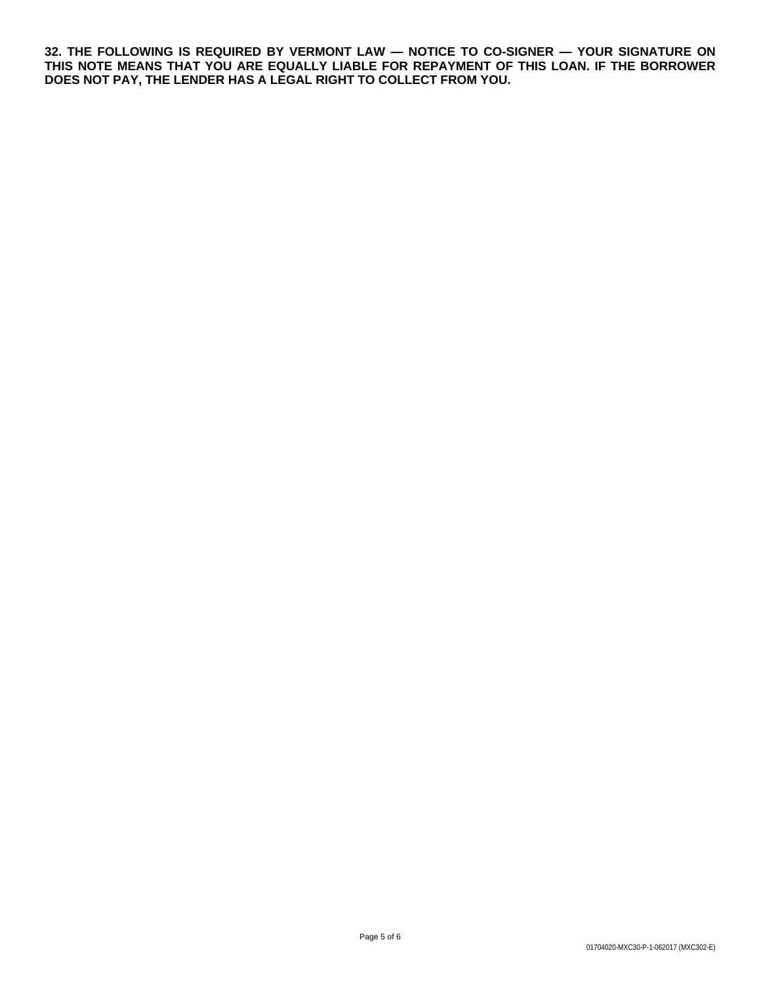**32. THE FOLLOWING IS REQUIRED BY VERMONT LAW — NOTICE TO CO-SIGNER — YOUR SIGNATURE ON THIS NOTE MEANS THAT YOU ARE EQUALLY LIABLE FOR REPAYMENT OF THIS LOAN. IF THE BORROWER DOES NOT PAY, THE LENDER HAS A LEGAL RIGHT TO COLLECT FROM YOU.**